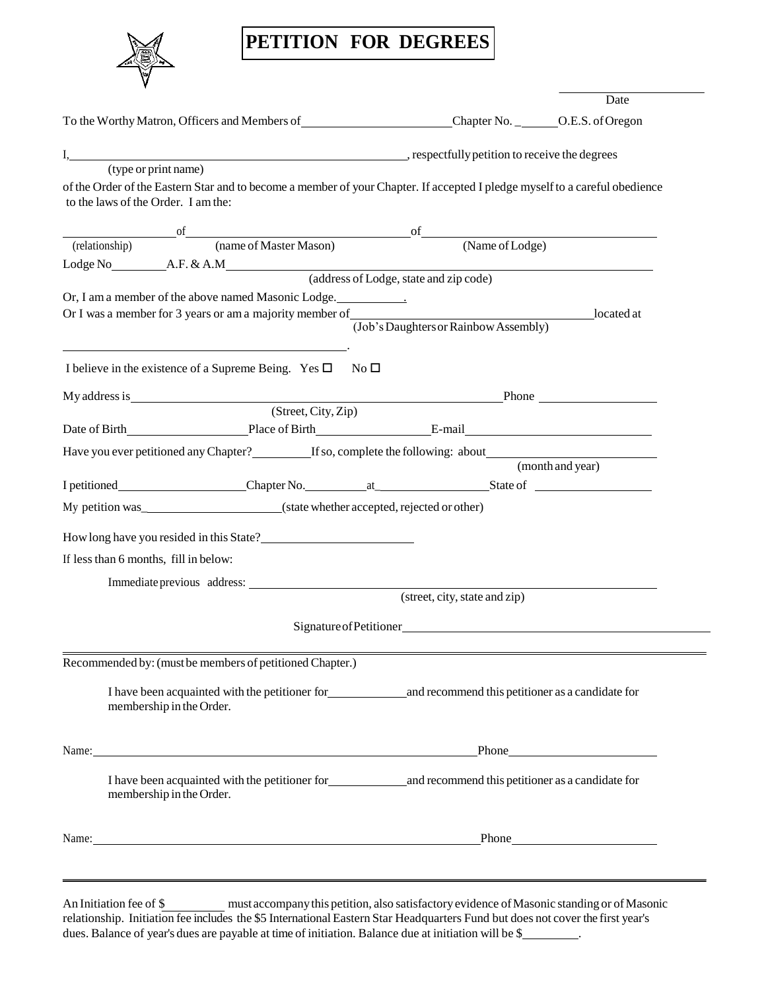## **PETITION FOR DEGREES**

|                                                                                                                                                                    |                                        | Date             |
|--------------------------------------------------------------------------------------------------------------------------------------------------------------------|----------------------------------------|------------------|
| To the Worthy Matron, Officers and Members of Chapter No. _ _______ O.E.S. of Oregon                                                                               |                                        |                  |
|                                                                                                                                                                    |                                        |                  |
|                                                                                                                                                                    |                                        |                  |
| of the Order of the Eastern Star and to become a member of your Chapter. If accepted I pledge myself to a careful obedience<br>to the laws of the Order. I am the: |                                        |                  |
| of of of original of of original contract of Massen of Original Contract of Lodge) (Name of Lodge)                                                                 |                                        |                  |
|                                                                                                                                                                    |                                        |                  |
|                                                                                                                                                                    |                                        |                  |
|                                                                                                                                                                    | (address of Lodge, state and zip code) |                  |
| Or, I am a member of the above named Masonic Lodge.                                                                                                                |                                        |                  |
|                                                                                                                                                                    | (Job's Daughters or Rainbow Assembly)  |                  |
|                                                                                                                                                                    |                                        |                  |
| I believe in the existence of a Supreme Being. Yes $\square$ No $\square$                                                                                          |                                        |                  |
|                                                                                                                                                                    |                                        |                  |
|                                                                                                                                                                    |                                        |                  |
|                                                                                                                                                                    |                                        |                  |
| Have you ever petitioned any Chapter?<br>If so, complete the following: about                                                                                      |                                        |                  |
|                                                                                                                                                                    |                                        | (month and year) |
| I petitioned____________________Chapter No._______________________________State of _________________                                                               |                                        |                  |
|                                                                                                                                                                    |                                        |                  |
|                                                                                                                                                                    |                                        |                  |
| If less than 6 months, fill in below:                                                                                                                              |                                        |                  |
| Immediate previous address:                                                                                                                                        |                                        |                  |
|                                                                                                                                                                    | (street, city, state and zip)          |                  |
|                                                                                                                                                                    | Signature of Petitioner                |                  |
| Recommended by: (must be members of petitioned Chapter.)                                                                                                           |                                        |                  |
|                                                                                                                                                                    |                                        |                  |
| I have been acquainted with the petitioner for and recommend this petitioner as a candidate for<br>membership in the Order.                                        |                                        |                  |
| Name: Phone                                                                                                                                                        |                                        |                  |
| I have been acquainted with the petitioner for<br><u>nad</u> recommend this petitioner as a candidate for<br>membership in the Order.                              |                                        |                  |
| Name: Phone                                                                                                                                                        |                                        |                  |
|                                                                                                                                                                    |                                        |                  |
|                                                                                                                                                                    |                                        |                  |

An Initiation fee of \$ relationship. Initiation fee includes the \$5 International Eastern Star Headquarters Fund but does not cover the first year's dues. Balance of year's dues are payable at time of initiation. Balance due at initiation will be \$